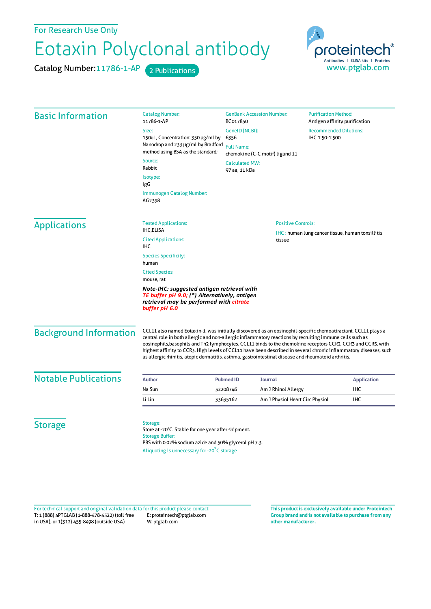For Research Use Only

## Eotaxin Polyclonal antibody

Catalog Number: 11786-1-AP 2 Publications



| <b>Basic Information</b>    | <b>Catalog Number:</b><br>11786-1-AP                                                                                                              | <b>GenBank Accession Number:</b><br>BC017850                                                                                                                                                                                                                                                                                                                                                                                                                                                                                                                          |                                 | <b>Purification Method:</b><br>Antigen affinity purification |                    |                                                                                                                                                        |
|-----------------------------|---------------------------------------------------------------------------------------------------------------------------------------------------|-----------------------------------------------------------------------------------------------------------------------------------------------------------------------------------------------------------------------------------------------------------------------------------------------------------------------------------------------------------------------------------------------------------------------------------------------------------------------------------------------------------------------------------------------------------------------|---------------------------------|--------------------------------------------------------------|--------------------|--------------------------------------------------------------------------------------------------------------------------------------------------------|
|                             | Size:<br>GenelD (NCBI):                                                                                                                           |                                                                                                                                                                                                                                                                                                                                                                                                                                                                                                                                                                       |                                 | <b>Recommended Dilutions:</b><br>IHC 1:50-1:500              |                    |                                                                                                                                                        |
|                             | 150ul, Concentration: 350 µg/ml by<br>Nanodrop and 233 µg/ml by Bradford                                                                          | 6356<br><b>Full Name:</b><br>chemokine (C-C motif) ligand 11                                                                                                                                                                                                                                                                                                                                                                                                                                                                                                          |                                 |                                                              |                    |                                                                                                                                                        |
|                             | method using BSA as the standard;                                                                                                                 |                                                                                                                                                                                                                                                                                                                                                                                                                                                                                                                                                                       |                                 |                                                              |                    |                                                                                                                                                        |
|                             | Source:<br>Rabbit                                                                                                                                 | <b>Calculated MW:</b><br>97 aa, 11 kDa                                                                                                                                                                                                                                                                                                                                                                                                                                                                                                                                |                                 |                                                              |                    |                                                                                                                                                        |
|                             | Isotype:<br>IgG                                                                                                                                   |                                                                                                                                                                                                                                                                                                                                                                                                                                                                                                                                                                       |                                 |                                                              |                    |                                                                                                                                                        |
|                             | Immunogen Catalog Number:<br>AG2398                                                                                                               |                                                                                                                                                                                                                                                                                                                                                                                                                                                                                                                                                                       |                                 |                                                              |                    |                                                                                                                                                        |
| <b>Applications</b>         | <b>Tested Applications:</b>                                                                                                                       |                                                                                                                                                                                                                                                                                                                                                                                                                                                                                                                                                                       | <b>Positive Controls:</b>       |                                                              |                    |                                                                                                                                                        |
|                             | <b>IHC,ELISA</b>                                                                                                                                  |                                                                                                                                                                                                                                                                                                                                                                                                                                                                                                                                                                       |                                 | <b>IHC:</b> human lung cancer tissue, human tonsillitis      |                    |                                                                                                                                                        |
|                             | <b>Cited Applications:</b><br><b>IHC</b>                                                                                                          |                                                                                                                                                                                                                                                                                                                                                                                                                                                                                                                                                                       | tissue                          |                                                              |                    |                                                                                                                                                        |
|                             | <b>Species Specificity:</b><br>human<br><b>Cited Species:</b><br>mouse, rat                                                                       |                                                                                                                                                                                                                                                                                                                                                                                                                                                                                                                                                                       |                                 |                                                              |                    |                                                                                                                                                        |
|                             |                                                                                                                                                   |                                                                                                                                                                                                                                                                                                                                                                                                                                                                                                                                                                       |                                 |                                                              |                    | Note-IHC: suggested antigen retrieval with<br>TE buffer pH 9.0; (*) Alternatively, antigen<br>retrieval may be performed with citrate<br>buffer pH 6.0 |
|                             | <b>Background Information</b>                                                                                                                     | CCL11 also named Eotaxin-1, was initially discovered as an eosinophil-specific chemoattractant. CCL11 plays a<br>central role in both allergic and non-allergic inflammatory reactions by recruiting immune cells such as<br>eosinophils, basophils and Th2 lymphocytes. CCL11 binds to the chemokine receptors CCR2, CCR3 and CCR5, with<br>highest affinity to CCR3. High levels of CCL11 have been described in several chronic inflammatory diseases, such<br>as allergic rhinitis, atopic dermatitis, asthma, gastrointestinal disease and rheumatoid arthritis. |                                 |                                                              |                    |                                                                                                                                                        |
| <b>Notable Publications</b> | <b>Author</b>                                                                                                                                     | <b>Pubmed ID</b><br>Journal                                                                                                                                                                                                                                                                                                                                                                                                                                                                                                                                           |                                 |                                                              | <b>Application</b> |                                                                                                                                                        |
|                             | Na Sun                                                                                                                                            | 32208746                                                                                                                                                                                                                                                                                                                                                                                                                                                                                                                                                              | Am J Rhinol Allergy             |                                                              | <b>IHC</b>         |                                                                                                                                                        |
|                             | Li Lin                                                                                                                                            | 33635162                                                                                                                                                                                                                                                                                                                                                                                                                                                                                                                                                              | Am J Physiol Heart Circ Physiol |                                                              | <b>IHC</b>         |                                                                                                                                                        |
| <b>Storage</b>              | Storage:<br>Store at -20°C. Stable for one year after shipment.<br><b>Storage Buffer:</b><br>PBS with 0.02% sodium azide and 50% glycerol pH 7.3. |                                                                                                                                                                                                                                                                                                                                                                                                                                                                                                                                                                       |                                 |                                                              |                    |                                                                                                                                                        |
|                             | Aliquoting is unnecessary for -20°C storage                                                                                                       |                                                                                                                                                                                                                                                                                                                                                                                                                                                                                                                                                                       |                                 |                                                              |                    |                                                                                                                                                        |

T: 1 (888) 4PTGLAB (1-888-478-4522) (toll free in USA), or 1(312) 455-8498 (outside USA) E: proteintech@ptglab.com W: ptglab.com Fortechnical support and original validation data forthis product please contact: **This productis exclusively available under Proteintech**

**Group brand and is not available to purchase from any other manufacturer.**